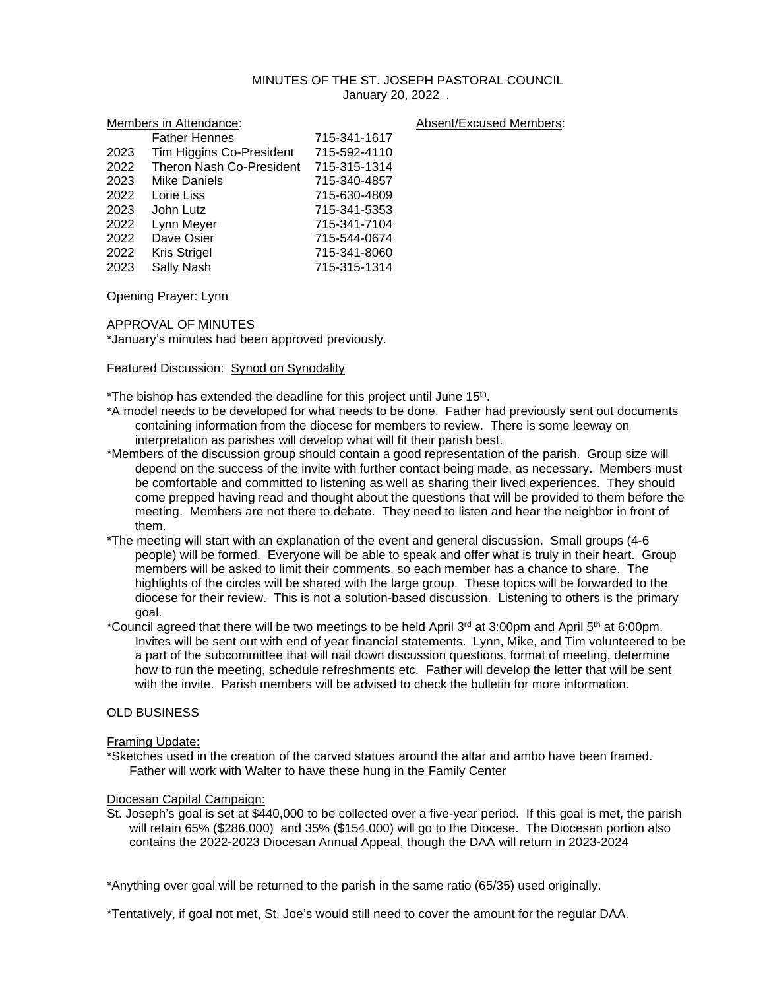# MINUTES OF THE ST. JOSEPH PASTORAL COUNCIL January 20, 2022 .

| Members in Attendance: |                          |              | Absent/Excused Members: |
|------------------------|--------------------------|--------------|-------------------------|
|                        | <b>Father Hennes</b>     | 715-341-1617 |                         |
| 2023                   | Tim Higgins Co-President | 715-592-4110 |                         |
| 2022                   | Theron Nash Co-President | 715-315-1314 |                         |
| 2023                   | <b>Mike Daniels</b>      | 715-340-4857 |                         |
| 2022                   | Lorie Liss               | 715-630-4809 |                         |
| 2023                   | John Lutz                | 715-341-5353 |                         |
| 2022                   | Lynn Meyer               | 715-341-7104 |                         |
| 2022                   | Dave Osier               | 715-544-0674 |                         |
| 2022                   | <b>Kris Strigel</b>      | 715-341-8060 |                         |
| 2023                   | Sally Nash               | 715-315-1314 |                         |

Opening Prayer: Lynn

APPROVAL OF MINUTES

\*January's minutes had been approved previously.

## Featured Discussion: Synod on Synodality

\*The bishop has extended the deadline for this project until June 15<sup>th</sup>.

- \*A model needs to be developed for what needs to be done. Father had previously sent out documents containing information from the diocese for members to review. There is some leeway on interpretation as parishes will develop what will fit their parish best.
- \*Members of the discussion group should contain a good representation of the parish. Group size will depend on the success of the invite with further contact being made, as necessary. Members must be comfortable and committed to listening as well as sharing their lived experiences. They should come prepped having read and thought about the questions that will be provided to them before the meeting. Members are not there to debate. They need to listen and hear the neighbor in front of them.
- \*The meeting will start with an explanation of the event and general discussion. Small groups (4-6 people) will be formed. Everyone will be able to speak and offer what is truly in their heart. Group members will be asked to limit their comments, so each member has a chance to share. The highlights of the circles will be shared with the large group. These topics will be forwarded to the diocese for their review. This is not a solution-based discussion. Listening to others is the primary goal.
- \*Council agreed that there will be two meetings to be held April 3<sup>rd</sup> at 3:00pm and April 5<sup>th</sup> at 6:00pm. Invites will be sent out with end of year financial statements. Lynn, Mike, and Tim volunteered to be a part of the subcommittee that will nail down discussion questions, format of meeting, determine how to run the meeting, schedule refreshments etc. Father will develop the letter that will be sent with the invite. Parish members will be advised to check the bulletin for more information.

# OLD BUSINESS

### Framing Update:

\*Sketches used in the creation of the carved statues around the altar and ambo have been framed. Father will work with Walter to have these hung in the Family Center

### Diocesan Capital Campaign:

St. Joseph's goal is set at \$440,000 to be collected over a five-year period. If this goal is met, the parish will retain 65% (\$286,000) and 35% (\$154,000) will go to the Diocese. The Diocesan portion also contains the 2022-2023 Diocesan Annual Appeal, though the DAA will return in 2023-2024

\*Anything over goal will be returned to the parish in the same ratio (65/35) used originally.

\*Tentatively, if goal not met, St. Joe's would still need to cover the amount for the regular DAA.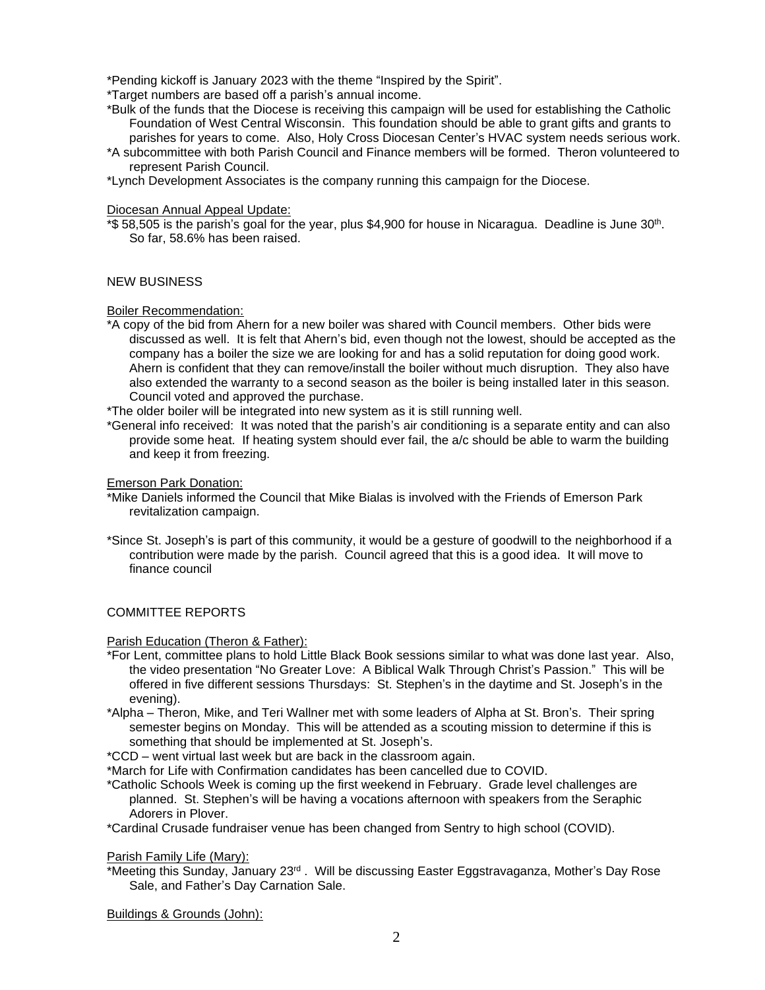\*Pending kickoff is January 2023 with the theme "Inspired by the Spirit".

\*Target numbers are based off a parish's annual income.

- \*Bulk of the funds that the Diocese is receiving this campaign will be used for establishing the Catholic Foundation of West Central Wisconsin. This foundation should be able to grant gifts and grants to parishes for years to come. Also, Holy Cross Diocesan Center's HVAC system needs serious work.
- \*A subcommittee with both Parish Council and Finance members will be formed. Theron volunteered to represent Parish Council.

\*Lynch Development Associates is the company running this campaign for the Diocese.

## Diocesan Annual Appeal Update:

\*\$ 58,505 is the parish's goal for the year, plus \$4,900 for house in Nicaragua. Deadline is June 30th . So far, 58.6% has been raised.

# NEW BUSINESS

## Boiler Recommendation:

- \*A copy of the bid from Ahern for a new boiler was shared with Council members. Other bids were discussed as well. It is felt that Ahern's bid, even though not the lowest, should be accepted as the company has a boiler the size we are looking for and has a solid reputation for doing good work. Ahern is confident that they can remove/install the boiler without much disruption. They also have also extended the warranty to a second season as the boiler is being installed later in this season. Council voted and approved the purchase.
- \*The older boiler will be integrated into new system as it is still running well.
- \*General info received: It was noted that the parish's air conditioning is a separate entity and can also provide some heat. If heating system should ever fail, the a/c should be able to warm the building and keep it from freezing.

## Emerson Park Donation:

- \*Mike Daniels informed the Council that Mike Bialas is involved with the Friends of Emerson Park revitalization campaign.
- \*Since St. Joseph's is part of this community, it would be a gesture of goodwill to the neighborhood if a contribution were made by the parish. Council agreed that this is a good idea. It will move to finance council

# COMMITTEE REPORTS

# Parish Education (Theron & Father):

- \*For Lent, committee plans to hold Little Black Book sessions similar to what was done last year. Also, the video presentation "No Greater Love: A Biblical Walk Through Christ's Passion." This will be offered in five different sessions Thursdays: St. Stephen's in the daytime and St. Joseph's in the evening).
- \*Alpha Theron, Mike, and Teri Wallner met with some leaders of Alpha at St. Bron's. Their spring semester begins on Monday. This will be attended as a scouting mission to determine if this is something that should be implemented at St. Joseph's.
- \*CCD went virtual last week but are back in the classroom again.
- \*March for Life with Confirmation candidates has been cancelled due to COVID.
- \*Catholic Schools Week is coming up the first weekend in February. Grade level challenges are planned. St. Stephen's will be having a vocations afternoon with speakers from the Seraphic Adorers in Plover.
- \*Cardinal Crusade fundraiser venue has been changed from Sentry to high school (COVID).

### Parish Family Life (Mary):

\*Meeting this Sunday, January 23<sup>rd</sup>. Will be discussing Easter Eggstravaganza, Mother's Day Rose Sale, and Father's Day Carnation Sale.

Buildings & Grounds (John):